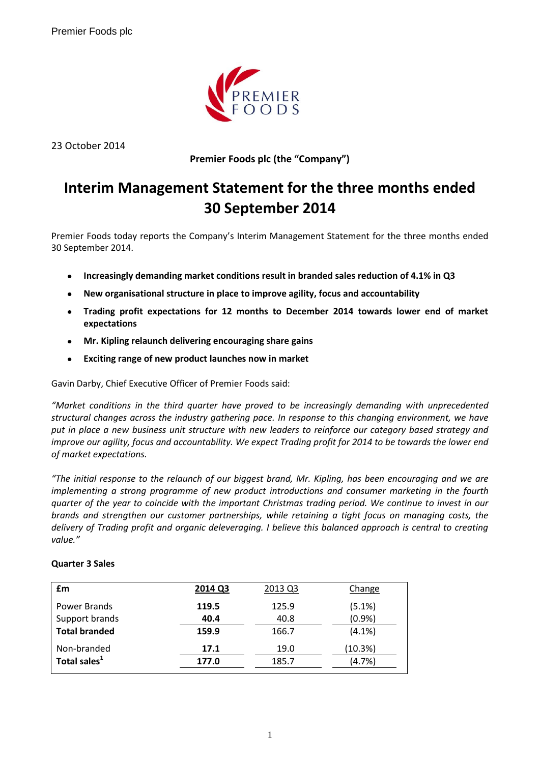

23 October 2014

**Premier Foods plc (the "Company")**

# **Interim Management Statement for the three months ended 30 September 2014**

Premier Foods today reports the Company's Interim Management Statement for the three months ended 30 September 2014.

- **Increasingly demanding market conditions result in branded sales reduction of 4.1% in Q3**  $\bullet$
- **New organisational structure in place to improve agility, focus and accountability**
- **Trading profit expectations for 12 months to December 2014 towards lower end of market expectations**
- **Mr. Kipling relaunch delivering encouraging share gains**  $\bullet$
- **Exciting range of new product launches now in market**

Gavin Darby, Chief Executive Officer of Premier Foods said:

*"Market conditions in the third quarter have proved to be increasingly demanding with unprecedented structural changes across the industry gathering pace. In response to this changing environment, we have put in place a new business unit structure with new leaders to reinforce our category based strategy and improve our agility, focus and accountability. We expect Trading profit for 2014 to be towards the lower end of market expectations.*

*"The initial response to the relaunch of our biggest brand, Mr. Kipling, has been encouraging and we are implementing a strong programme of new product introductions and consumer marketing in the fourth quarter of the year to coincide with the important Christmas trading period. We continue to invest in our brands and strengthen our customer partnerships, while retaining a tight focus on managing costs, the delivery of Trading profit and organic deleveraging. I believe this balanced approach is central to creating value."*

| £m                                    | 2014 Q3       | 2013 Q3       | Change          |
|---------------------------------------|---------------|---------------|-----------------|
| <b>Power Brands</b><br>Support brands | 119.5<br>40.4 | 125.9<br>40.8 | (5.1%)<br>(0.9% |
| <b>Total branded</b>                  | 159.9         | 166.7         | $(4.1\%)$       |
| Non-branded                           | 17.1          | 19.0          | (10.3%)         |
| Total sales <sup>1</sup>              | 177.0         | 185.7         | (4.7%)          |

# **Quarter 3 Sales**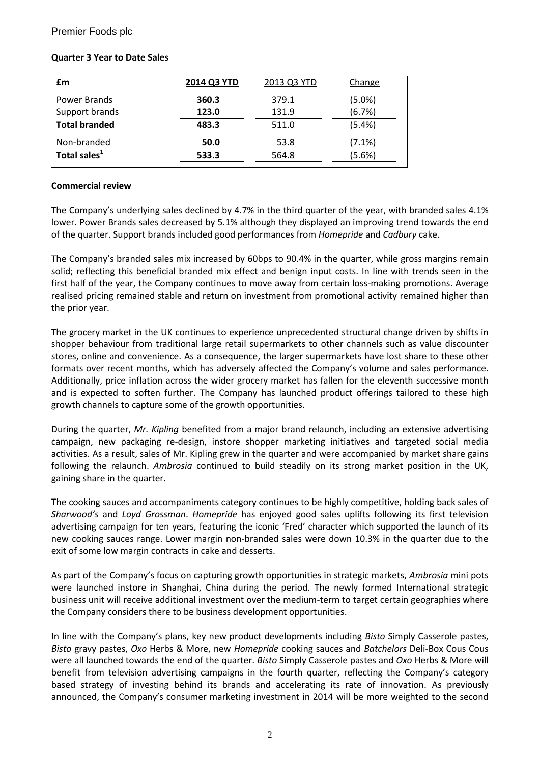## Premier Foods plc

## **Quarter 3 Year to Date Sales**

| £m                       | 2014 Q3 YTD | 2013 Q3 YTD | Change    |
|--------------------------|-------------|-------------|-----------|
| Power Brands             | 360.3       | 379.1       | (5.0%)    |
| Support brands           | 123.0       | 131.9       | (6.7%)    |
| <b>Total branded</b>     | 483.3       | 511.0       | (5.4%)    |
| Non-branded              | 50.0        | 53.8        | $(7.1\%)$ |
| Total sales <sup>1</sup> | 533.3       | 564.8       | (5.6%)    |

#### **Commercial review**

The Company's underlying sales declined by 4.7% in the third quarter of the year, with branded sales 4.1% lower. Power Brands sales decreased by 5.1% although they displayed an improving trend towards the end of the quarter. Support brands included good performances from *Homepride* and *Cadbury* cake.

The Company's branded sales mix increased by 60bps to 90.4% in the quarter, while gross margins remain solid; reflecting this beneficial branded mix effect and benign input costs. In line with trends seen in the first half of the year, the Company continues to move away from certain loss-making promotions. Average realised pricing remained stable and return on investment from promotional activity remained higher than the prior year.

The grocery market in the UK continues to experience unprecedented structural change driven by shifts in shopper behaviour from traditional large retail supermarkets to other channels such as value discounter stores, online and convenience. As a consequence, the larger supermarkets have lost share to these other formats over recent months, which has adversely affected the Company's volume and sales performance. Additionally, price inflation across the wider grocery market has fallen for the eleventh successive month and is expected to soften further. The Company has launched product offerings tailored to these high growth channels to capture some of the growth opportunities.

During the quarter, *Mr. Kipling* benefited from a major brand relaunch, including an extensive advertising campaign, new packaging re-design, instore shopper marketing initiatives and targeted social media activities. As a result, sales of Mr. Kipling grew in the quarter and were accompanied by market share gains following the relaunch. *Ambrosia* continued to build steadily on its strong market position in the UK, gaining share in the quarter.

The cooking sauces and accompaniments category continues to be highly competitive, holding back sales of *Sharwood's* and *Loyd Grossman*. *Homepride* has enjoyed good sales uplifts following its first television advertising campaign for ten years, featuring the iconic 'Fred' character which supported the launch of its new cooking sauces range. Lower margin non-branded sales were down 10.3% in the quarter due to the exit of some low margin contracts in cake and desserts.

As part of the Company's focus on capturing growth opportunities in strategic markets, *Ambrosia* mini pots were launched instore in Shanghai, China during the period. The newly formed International strategic business unit will receive additional investment over the medium-term to target certain geographies where the Company considers there to be business development opportunities.

In line with the Company's plans, key new product developments including *Bisto* Simply Casserole pastes, *Bisto* gravy pastes, *Oxo* Herbs & More, new *Homepride* cooking sauces and *Batchelors* Deli-Box Cous Cous were all launched towards the end of the quarter. *Bisto* Simply Casserole pastes and *Oxo* Herbs & More will benefit from television advertising campaigns in the fourth quarter, reflecting the Company's category based strategy of investing behind its brands and accelerating its rate of innovation. As previously announced, the Company's consumer marketing investment in 2014 will be more weighted to the second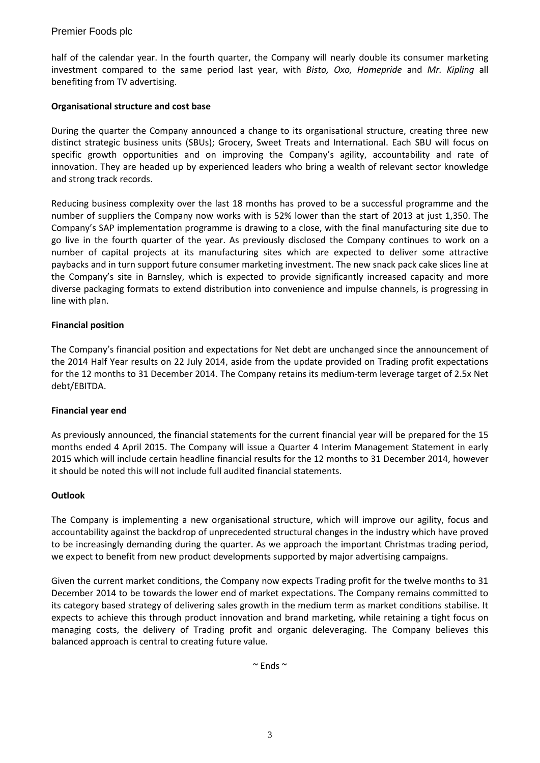# Premier Foods plc

half of the calendar year. In the fourth quarter, the Company will nearly double its consumer marketing investment compared to the same period last year, with *Bisto, Oxo, Homepride* and *Mr. Kipling* all benefiting from TV advertising.

## **Organisational structure and cost base**

During the quarter the Company announced a change to its organisational structure, creating three new distinct strategic business units (SBUs); Grocery, Sweet Treats and International. Each SBU will focus on specific growth opportunities and on improving the Company's agility, accountability and rate of innovation. They are headed up by experienced leaders who bring a wealth of relevant sector knowledge and strong track records.

Reducing business complexity over the last 18 months has proved to be a successful programme and the number of suppliers the Company now works with is 52% lower than the start of 2013 at just 1,350. The Company's SAP implementation programme is drawing to a close, with the final manufacturing site due to go live in the fourth quarter of the year. As previously disclosed the Company continues to work on a number of capital projects at its manufacturing sites which are expected to deliver some attractive paybacks and in turn support future consumer marketing investment. The new snack pack cake slices line at the Company's site in Barnsley, which is expected to provide significantly increased capacity and more diverse packaging formats to extend distribution into convenience and impulse channels, is progressing in line with plan.

## **Financial position**

The Company's financial position and expectations for Net debt are unchanged since the announcement of the 2014 Half Year results on 22 July 2014, aside from the update provided on Trading profit expectations for the 12 months to 31 December 2014. The Company retains its medium-term leverage target of 2.5x Net debt/EBITDA.

#### **Financial year end**

As previously announced, the financial statements for the current financial year will be prepared for the 15 months ended 4 April 2015. The Company will issue a Quarter 4 Interim Management Statement in early 2015 which will include certain headline financial results for the 12 months to 31 December 2014, however it should be noted this will not include full audited financial statements.

#### **Outlook**

The Company is implementing a new organisational structure, which will improve our agility, focus and accountability against the backdrop of unprecedented structural changes in the industry which have proved to be increasingly demanding during the quarter. As we approach the important Christmas trading period, we expect to benefit from new product developments supported by major advertising campaigns.

Given the current market conditions, the Company now expects Trading profit for the twelve months to 31 December 2014 to be towards the lower end of market expectations. The Company remains committed to its category based strategy of delivering sales growth in the medium term as market conditions stabilise. It expects to achieve this through product innovation and brand marketing, while retaining a tight focus on managing costs, the delivery of Trading profit and organic deleveraging. The Company believes this balanced approach is central to creating future value.

 $\sim$  Ends  $\sim$